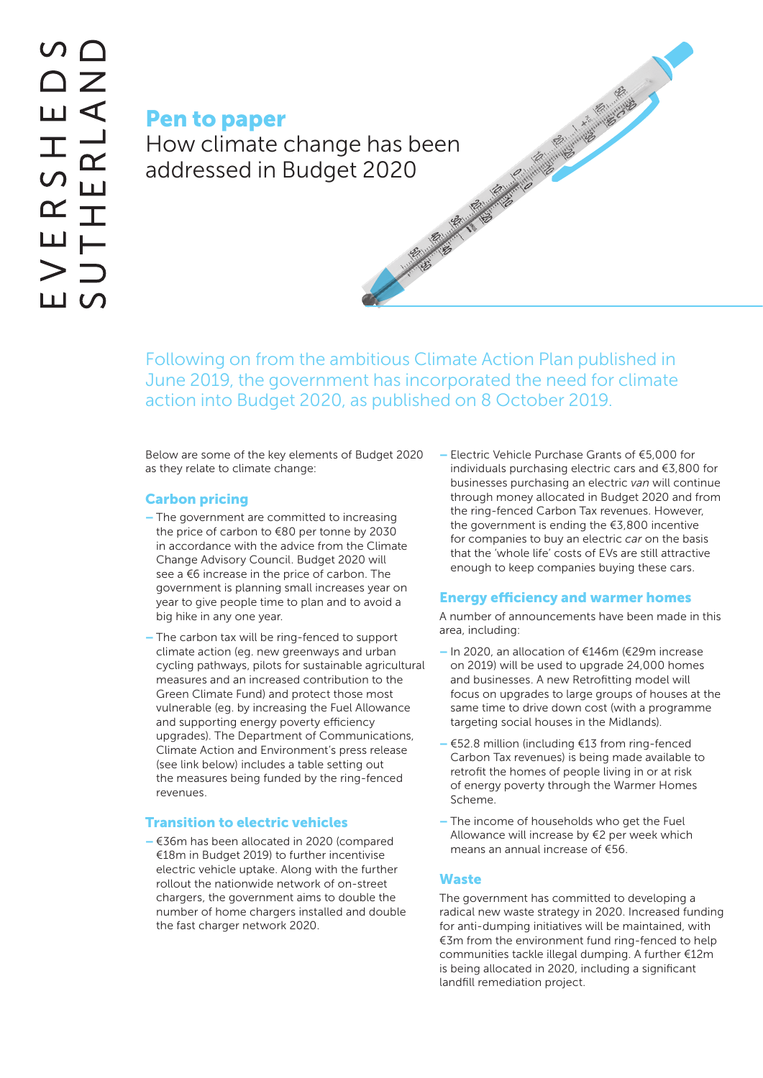Pen to paper How climate change has been<br>addressed in Budget 2020 addressed in Budget 2020

Following on from the ambitious Climate Action Plan published in June 2019, the government has incorporated the need for climate action into Budget 2020, as published on 8 October 2019.

Below are some of the key elements of Budget 2020 as they relate to climate change:

# Carbon pricing

- The government are committed to increasing the price of carbon to €80 per tonne by 2030 in accordance with the advice from the Climate Change Advisory Council. Budget 2020 will see a €6 increase in the price of carbon. The government is planning small increases year on year to give people time to plan and to avoid a big hike in any one year.
- The carbon tax will be ring-fenced to support climate action (eg. new greenways and urban cycling pathways, pilots for sustainable agricultural measures and an increased contribution to the Green Climate Fund) and protect those most vulnerable (eg. by increasing the Fuel Allowance and supporting energy poverty efficiency upgrades). The Department of Communications, Climate Action and Environment's press release (see link below) includes a table setting out the measures being funded by the ring-fenced revenues.

## Transition to electric vehicles

– €36m has been allocated in 2020 (compared €18m in Budget 2019) to further incentivise electric vehicle uptake. Along with the further rollout the nationwide network of on-street chargers, the government aims to double the number of home chargers installed and double the fast charger network 2020.

– Electric Vehicle Purchase Grants of €5,000 for individuals purchasing electric cars and €3,800 for businesses purchasing an electric *van* will continue through money allocated in Budget 2020 and from the ring-fenced Carbon Tax revenues. However, the government is ending the €3,800 incentive for companies to buy an electric *car* on the basis that the 'whole life' costs of EVs are still attractive enough to keep companies buying these cars.

#### Energy efficiency and warmer homes

A number of announcements have been made in this area, including:

- In 2020, an allocation of €146m (€29m increase on 2019) will be used to upgrade 24,000 homes and businesses. A new Retrofitting model will focus on upgrades to large groups of houses at the same time to drive down cost (with a programme targeting social houses in the Midlands).
- €52.8 million (including €13 from ring-fenced Carbon Tax revenues) is being made available to retrofit the homes of people living in or at risk of energy poverty through the Warmer Homes Scheme.
- The income of households who get the Fuel Allowance will increase by €2 per week which means an annual increase of €56.

## **Waste**

The government has committed to developing a radical new waste strategy in 2020. Increased funding for anti-dumping initiatives will be maintained, with €3m from the environment fund ring-fenced to help communities tackle illegal dumping. A further €12m is being allocated in 2020, including a significant landfill remediation project.